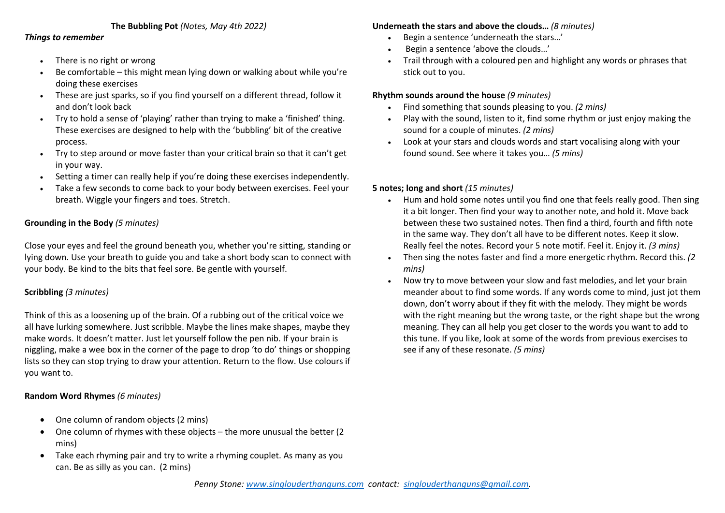### **The Bubbling Pot** *(Notes, May 4th 2022)*

#### *Things to remember*

- There is no right or wrong
- Be comfortable this might mean lying down or walking about while you're doing these exercises
- These are just sparks, so if you find yourself on a different thread, follow it and don't look back
- Try to hold a sense of 'playing' rather than trying to make a 'finished' thing. These exercises are designed to help with the 'bubbling' bit of the creative process.
- Try to step around or move faster than your critical brain so that it can't get in your way.
- Setting a timer can really help if you're doing these exercises independently.
- Take a few seconds to come back to your body between exercises. Feel your breath. Wiggle your fingers and toes. Stretch.

# **Grounding in the Body** *(5 minutes)*

Close your eyes and feel the ground beneath you, whether you're sitting, standing or lying down. Use your breath to guide you and take a short body scan to connect with your body. Be kind to the bits that feel sore. Be gentle with yourself.

# **Scribbling** *(3 minutes)*

Think of this as a loosening up of the brain. Of a rubbing out of the critical voice we all have lurking somewhere. Just scribble. Maybe the lines make shapes, maybe they make words. It doesn't matter. Just let yourself follow the pen nib. If your brain is niggling, make a wee box in the corner of the page to drop 'to do' things or shopping lists so they can stop trying to draw your attention. Return to the flow. Use colours if you want to.

#### **Random Word Rhymes** *(6 minutes)*

- One column of random objects (2 mins)
- One column of rhymes with these objects the more unusual the better (2 mins)
- Take each rhyming pair and try to write a rhyming couplet. As many as you can. Be as silly as you can. (2 mins)

#### **Underneath the stars and above the clouds…** *(8 minutes)*

- Begin a sentence 'underneath the stars…'
- Begin a sentence 'above the clouds…'
- Trail through with a coloured pen and highlight any words or phrases that stick out to you.

# **Rhythm sounds around the house** *(9 minutes)*

- Find something that sounds pleasing to you. *(2 mins)*
- Play with the sound, listen to it, find some rhythm or just enjoy making the sound for a couple of minutes. *(2 mins)*
- Look at your stars and clouds words and start vocalising along with your found sound. See where it takes you… *(5 mins)*

# **5 notes; long and short** *(15 minutes)*

- Hum and hold some notes until you find one that feels really good. Then sing it a bit longer. Then find your way to another note, and hold it. Move back between these two sustained notes. Then find a third, fourth and fifth note in the same way. They don't all have to be different notes. Keep it slow. Really feel the notes. Record your 5 note motif. Feel it. Enjoy it. *(3 mins)*
- Then sing the notes faster and find a more energetic rhythm. Record this. *(2 mins)*
- Now try to move between your slow and fast melodies, and let your brain meander about to find some words. If any words come to mind, just jot them down, don't worry about if they fit with the melody. They might be words with the right meaning but the wrong taste, or the right shape but the wrong meaning. They can all help you get closer to the words you want to add to this tune. If you like, look at some of the words from previous exercises to see if any of these resonate. *(5 mins)*